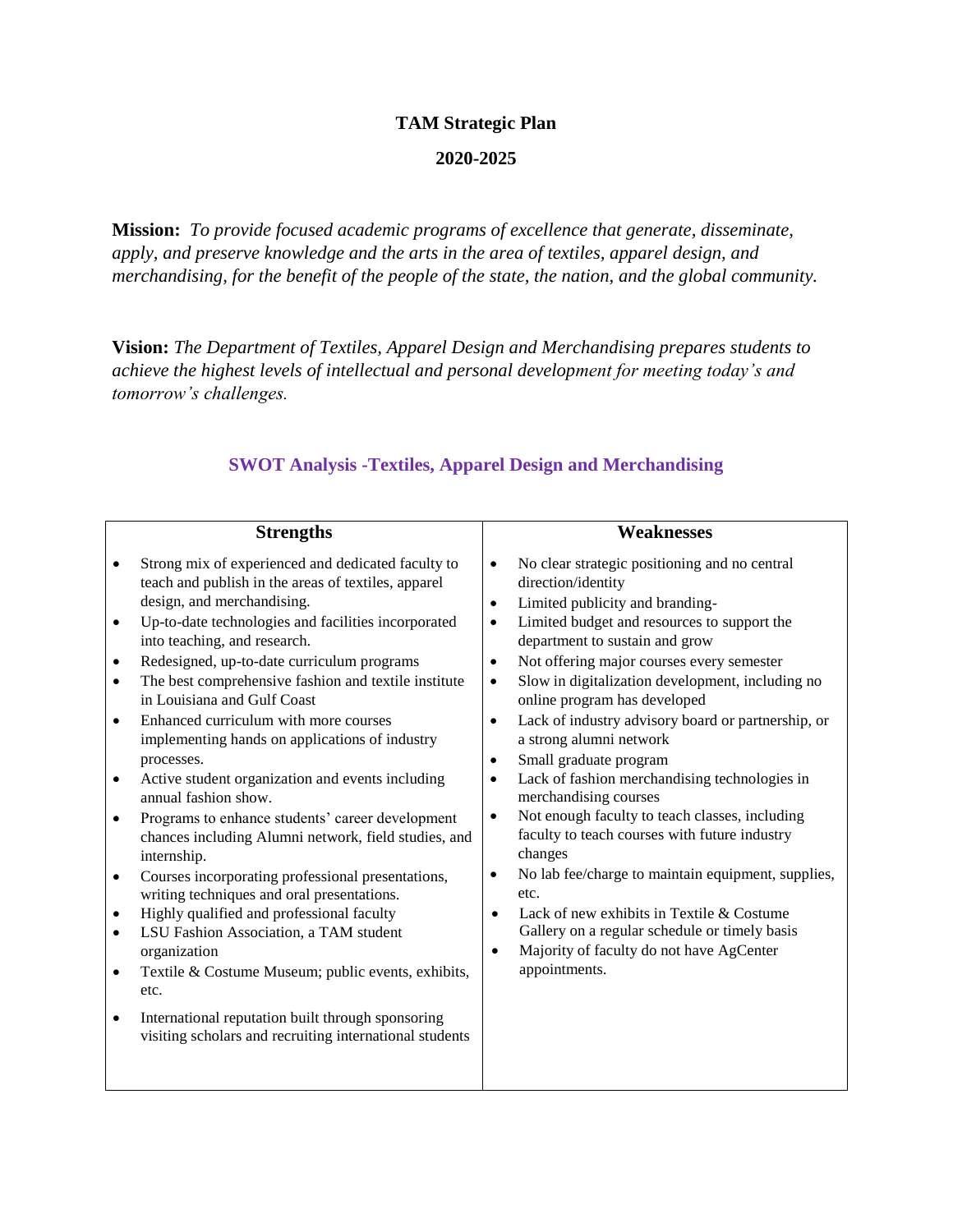## **TAM Strategic Plan**

## **2020-2025**

**Mission:** *To provide focused academic programs of excellence that generate, disseminate, apply, and preserve knowledge and the arts in the area of textiles, apparel design, and merchandising, for the benefit of the people of the state, the nation, and the global community.*

**Vision:** *The Department of Textiles, Apparel Design and Merchandising prepares students to achieve the highest levels of intellectual and personal development for meeting today's and tomorrow's challenges.*

|                                                  | <b>Strengths</b>                                                                                                                                                                                                                                                                                                                                                                                                                                                                                                                                                                                                                                                                                                                                                                                                                                                                                                                                                                                                                                                            | Weaknesses                                                                                                                                                                                                                                                                                                                                                                                                                                                                                                                                                                                                                                                                                                                                                                                                                                                                                                                                           |
|--------------------------------------------------|-----------------------------------------------------------------------------------------------------------------------------------------------------------------------------------------------------------------------------------------------------------------------------------------------------------------------------------------------------------------------------------------------------------------------------------------------------------------------------------------------------------------------------------------------------------------------------------------------------------------------------------------------------------------------------------------------------------------------------------------------------------------------------------------------------------------------------------------------------------------------------------------------------------------------------------------------------------------------------------------------------------------------------------------------------------------------------|------------------------------------------------------------------------------------------------------------------------------------------------------------------------------------------------------------------------------------------------------------------------------------------------------------------------------------------------------------------------------------------------------------------------------------------------------------------------------------------------------------------------------------------------------------------------------------------------------------------------------------------------------------------------------------------------------------------------------------------------------------------------------------------------------------------------------------------------------------------------------------------------------------------------------------------------------|
| $\bullet$<br>$\bullet$<br>$\bullet$<br>$\bullet$ | Strong mix of experienced and dedicated faculty to<br>teach and publish in the areas of textiles, apparel<br>design, and merchandising.<br>Up-to-date technologies and facilities incorporated<br>into teaching, and research.<br>Redesigned, up-to-date curriculum programs<br>The best comprehensive fashion and textile institute<br>in Louisiana and Gulf Coast<br>Enhanced curriculum with more courses<br>implementing hands on applications of industry<br>processes.<br>Active student organization and events including<br>annual fashion show.<br>Programs to enhance students' career development<br>chances including Alumni network, field studies, and<br>internship.<br>Courses incorporating professional presentations,<br>writing techniques and oral presentations.<br>Highly qualified and professional faculty<br>LSU Fashion Association, a TAM student<br>organization<br>Textile & Costume Museum; public events, exhibits,<br>etc.<br>International reputation built through sponsoring<br>visiting scholars and recruiting international students | No clear strategic positioning and no central<br>direction/identity<br>Limited publicity and branding-<br>$\bullet$<br>Limited budget and resources to support the<br>$\bullet$<br>department to sustain and grow<br>Not offering major courses every semester<br>$\bullet$<br>Slow in digitalization development, including no<br>$\bullet$<br>online program has developed<br>Lack of industry advisory board or partnership, or<br>$\bullet$<br>a strong alumni network<br>Small graduate program<br>$\bullet$<br>Lack of fashion merchandising technologies in<br>merchandising courses<br>Not enough faculty to teach classes, including<br>$\bullet$<br>faculty to teach courses with future industry<br>changes<br>No lab fee/charge to maintain equipment, supplies,<br>etc.<br>Lack of new exhibits in Textile & Costume<br>٠<br>Gallery on a regular schedule or timely basis<br>Majority of faculty do not have AgCenter<br>appointments. |
|                                                  |                                                                                                                                                                                                                                                                                                                                                                                                                                                                                                                                                                                                                                                                                                                                                                                                                                                                                                                                                                                                                                                                             |                                                                                                                                                                                                                                                                                                                                                                                                                                                                                                                                                                                                                                                                                                                                                                                                                                                                                                                                                      |

## **SWOT Analysis -Textiles, Apparel Design and Merchandising**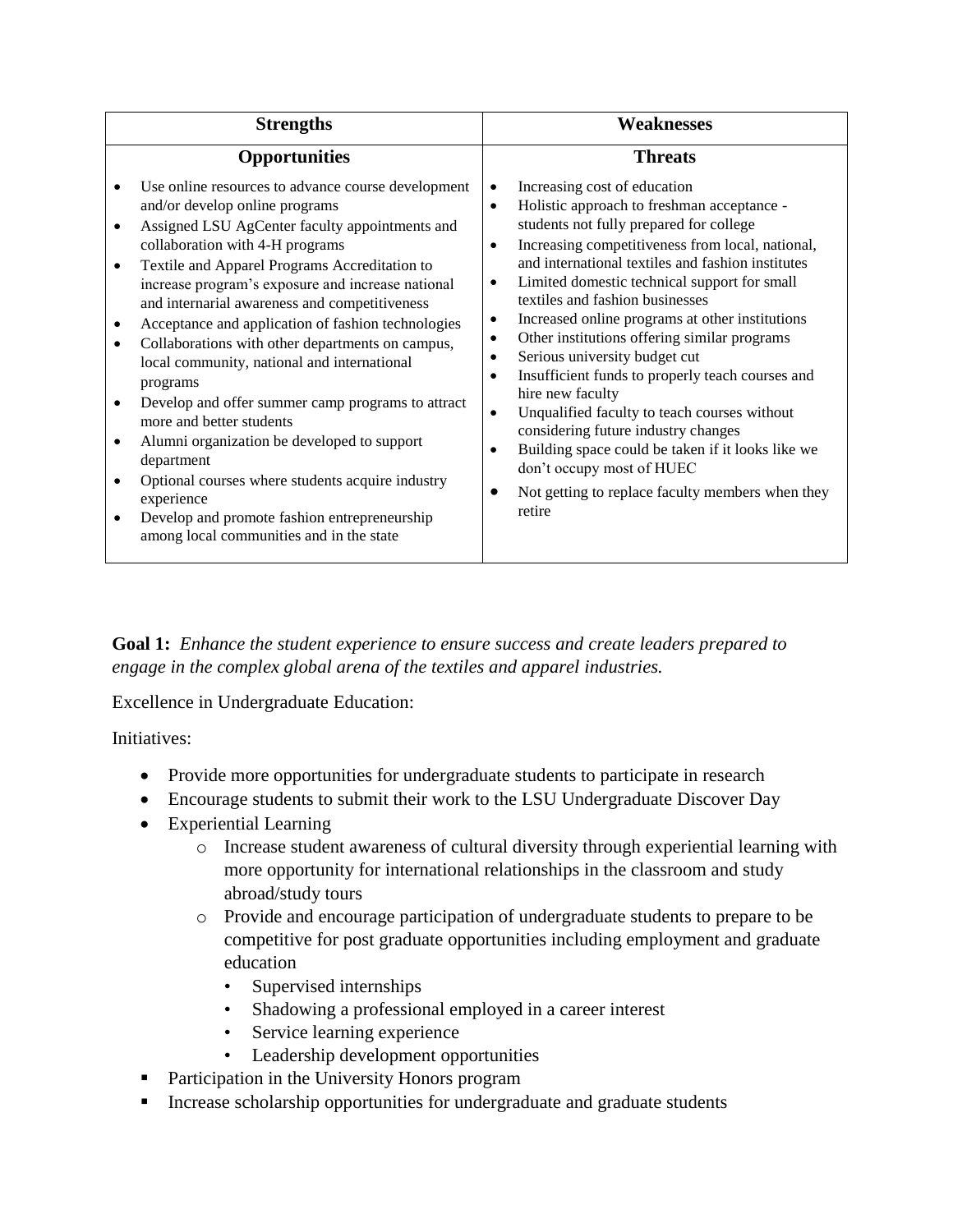| <b>Strengths</b>                                                                                                                                                                                                                                                                                                                                                                                                                                                                                                                                                                                                                                                                                                                                                                                                               | <b>Weaknesses</b>                                                                                                                                                                                                                                                                                                                                                                                                                                                                                                                                                                                                                                                                                                                                                                                                                                                                              |
|--------------------------------------------------------------------------------------------------------------------------------------------------------------------------------------------------------------------------------------------------------------------------------------------------------------------------------------------------------------------------------------------------------------------------------------------------------------------------------------------------------------------------------------------------------------------------------------------------------------------------------------------------------------------------------------------------------------------------------------------------------------------------------------------------------------------------------|------------------------------------------------------------------------------------------------------------------------------------------------------------------------------------------------------------------------------------------------------------------------------------------------------------------------------------------------------------------------------------------------------------------------------------------------------------------------------------------------------------------------------------------------------------------------------------------------------------------------------------------------------------------------------------------------------------------------------------------------------------------------------------------------------------------------------------------------------------------------------------------------|
| <b>Opportunities</b>                                                                                                                                                                                                                                                                                                                                                                                                                                                                                                                                                                                                                                                                                                                                                                                                           | <b>Threats</b>                                                                                                                                                                                                                                                                                                                                                                                                                                                                                                                                                                                                                                                                                                                                                                                                                                                                                 |
| Use online resources to advance course development<br>and/or develop online programs<br>Assigned LSU AgCenter faculty appointments and<br>$\bullet$<br>collaboration with 4-H programs<br>Textile and Apparel Programs Accreditation to<br>increase program's exposure and increase national<br>and internarial awareness and competitiveness<br>Acceptance and application of fashion technologies<br>Collaborations with other departments on campus,<br>local community, national and international<br>programs<br>Develop and offer summer camp programs to attract<br>more and better students<br>Alumni organization be developed to support<br>department<br>Optional courses where students acquire industry<br>experience<br>Develop and promote fashion entrepreneurship<br>among local communities and in the state | Increasing cost of education<br>$\bullet$<br>Holistic approach to freshman acceptance -<br>$\bullet$<br>students not fully prepared for college<br>Increasing competitiveness from local, national,<br>$\bullet$<br>and international textiles and fashion institutes<br>Limited domestic technical support for small<br>$\bullet$<br>textiles and fashion businesses<br>Increased online programs at other institutions<br>$\bullet$<br>Other institutions offering similar programs<br>$\bullet$<br>Serious university budget cut<br>٠<br>Insufficient funds to properly teach courses and<br>$\bullet$<br>hire new faculty<br>Unqualified faculty to teach courses without<br>$\bullet$<br>considering future industry changes<br>Building space could be taken if it looks like we<br>$\bullet$<br>don't occupy most of HUEC<br>Not getting to replace faculty members when they<br>retire |

**Goal 1:** *Enhance the student experience to ensure success and create leaders prepared to engage in the complex global arena of the textiles and apparel industries.*

Excellence in Undergraduate Education:

Initiatives:

- Provide more opportunities for undergraduate students to participate in research
- Encourage students to submit their work to the LSU Undergraduate Discover Day
- Experiential Learning
	- o Increase student awareness of cultural diversity through experiential learning with more opportunity for international relationships in the classroom and study abroad/study tours
	- o Provide and encourage participation of undergraduate students to prepare to be competitive for post graduate opportunities including employment and graduate education
		- Supervised internships
		- Shadowing a professional employed in a career interest
		- Service learning experience
		- Leadership development opportunities
- **Participation in the University Honors program**
- **Increase scholarship opportunities for undergraduate and graduate students**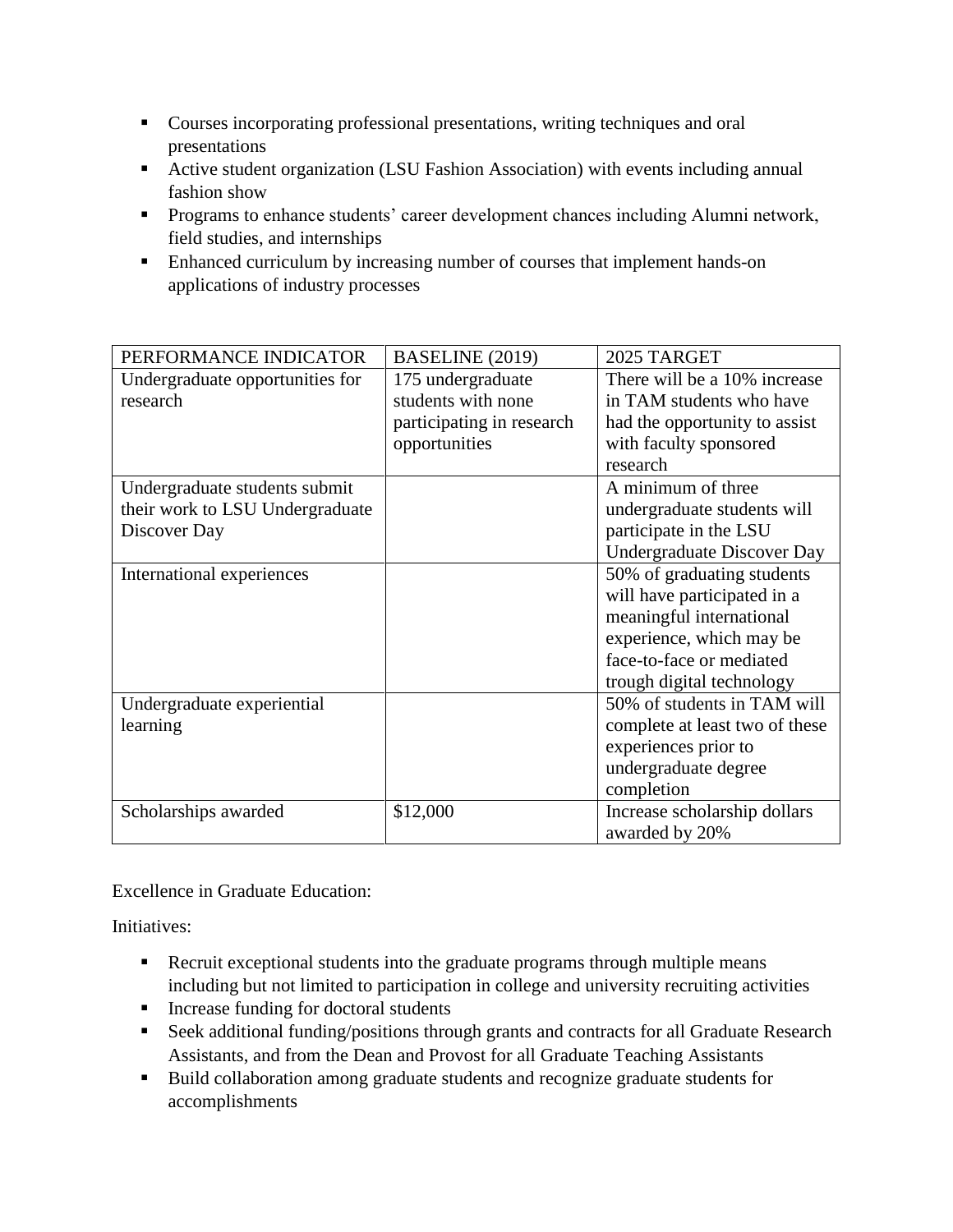- Courses incorporating professional presentations, writing techniques and oral presentations
- Active student organization (LSU Fashion Association) with events including annual fashion show
- **Programs to enhance students' career development chances including Alumni network,** field studies, and internships
- Enhanced curriculum by increasing number of courses that implement hands-on applications of industry processes

| PERFORMANCE INDICATOR           | BASELINE (2019)           | 2025 TARGET                       |
|---------------------------------|---------------------------|-----------------------------------|
| Undergraduate opportunities for | 175 undergraduate         | There will be a 10% increase      |
| research                        | students with none        | in TAM students who have          |
|                                 | participating in research | had the opportunity to assist     |
|                                 | opportunities             | with faculty sponsored            |
|                                 |                           | research                          |
| Undergraduate students submit   |                           | A minimum of three                |
| their work to LSU Undergraduate |                           | undergraduate students will       |
| Discover Day                    |                           | participate in the LSU            |
|                                 |                           | <b>Undergraduate Discover Day</b> |
| International experiences       |                           | 50% of graduating students        |
|                                 |                           | will have participated in a       |
|                                 |                           | meaningful international          |
|                                 |                           | experience, which may be          |
|                                 |                           | face-to-face or mediated          |
|                                 |                           | trough digital technology         |
| Undergraduate experiential      |                           | 50% of students in TAM will       |
| learning                        |                           | complete at least two of these    |
|                                 |                           | experiences prior to              |
|                                 |                           | undergraduate degree              |
|                                 |                           | completion                        |
| Scholarships awarded            | \$12,000                  | Increase scholarship dollars      |
|                                 |                           | awarded by 20%                    |

Excellence in Graduate Education:

Initiatives:

- Recruit exceptional students into the graduate programs through multiple means including but not limited to participation in college and university recruiting activities
- **Increase funding for doctoral students**
- **Seek additional funding/positions through grants and contracts for all Graduate Research** Assistants, and from the Dean and Provost for all Graduate Teaching Assistants
- Build collaboration among graduate students and recognize graduate students for accomplishments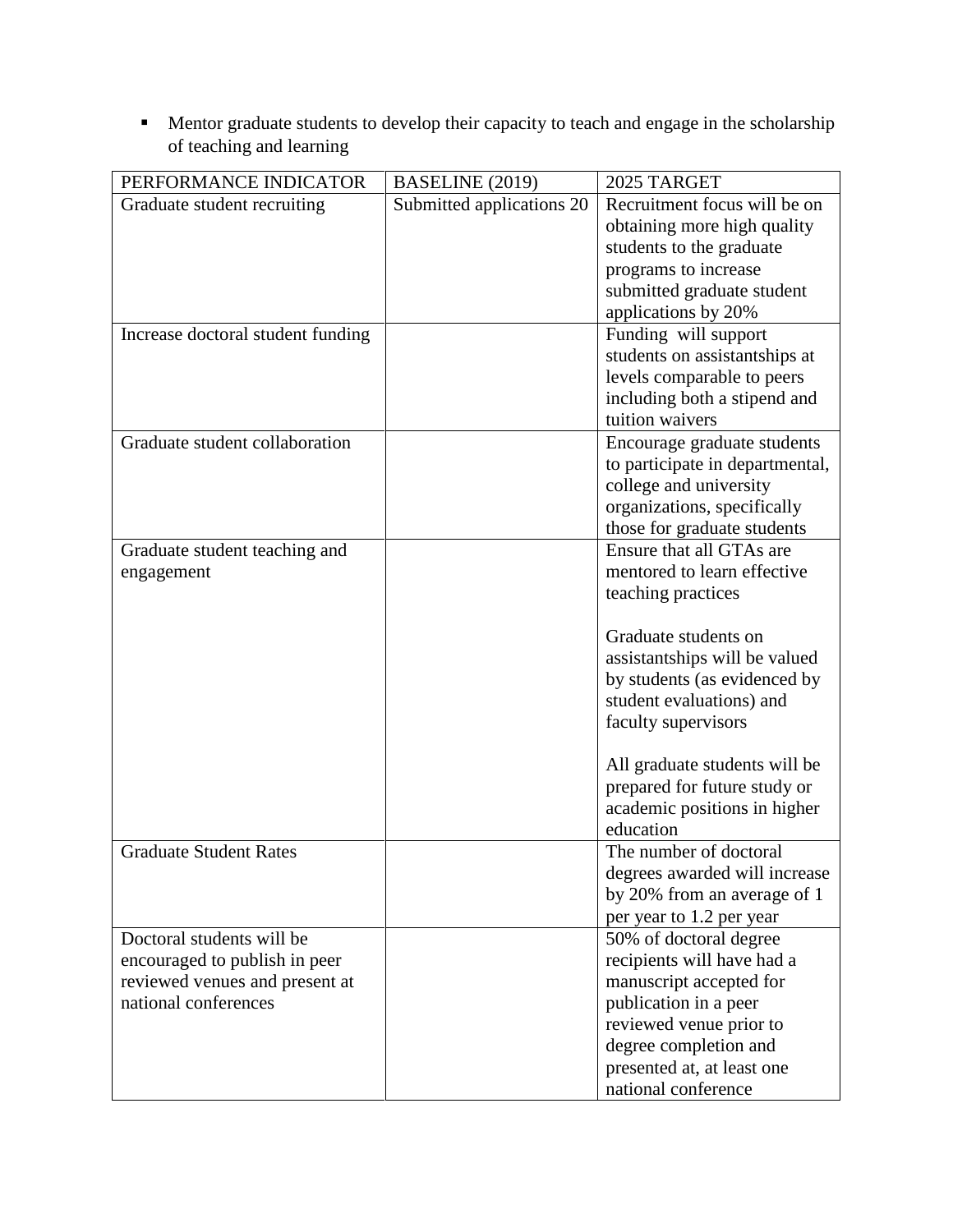**Mentor graduate students to develop their capacity to teach and engage in the scholarship** of teaching and learning

| PERFORMANCE INDICATOR             | BASELINE (2019)           | 2025 TARGET                     |
|-----------------------------------|---------------------------|---------------------------------|
| Graduate student recruiting       | Submitted applications 20 | Recruitment focus will be on    |
|                                   |                           | obtaining more high quality     |
|                                   |                           | students to the graduate        |
|                                   |                           | programs to increase            |
|                                   |                           | submitted graduate student      |
|                                   |                           | applications by 20%             |
| Increase doctoral student funding |                           | Funding will support            |
|                                   |                           | students on assistantships at   |
|                                   |                           | levels comparable to peers      |
|                                   |                           | including both a stipend and    |
|                                   |                           | tuition waivers                 |
| Graduate student collaboration    |                           | Encourage graduate students     |
|                                   |                           | to participate in departmental, |
|                                   |                           | college and university          |
|                                   |                           | organizations, specifically     |
|                                   |                           | those for graduate students     |
| Graduate student teaching and     |                           | Ensure that all GTAs are        |
| engagement                        |                           | mentored to learn effective     |
|                                   |                           | teaching practices              |
|                                   |                           |                                 |
|                                   |                           | Graduate students on            |
|                                   |                           | assistantships will be valued   |
|                                   |                           | by students (as evidenced by    |
|                                   |                           | student evaluations) and        |
|                                   |                           | faculty supervisors             |
|                                   |                           | All graduate students will be   |
|                                   |                           | prepared for future study or    |
|                                   |                           | academic positions in higher    |
|                                   |                           | education                       |
| <b>Graduate Student Rates</b>     |                           | The number of doctoral          |
|                                   |                           | degrees awarded will increase   |
|                                   |                           | by 20% from an average of 1     |
|                                   |                           | per year to 1.2 per year        |
| Doctoral students will be         |                           | 50% of doctoral degree          |
| encouraged to publish in peer     |                           | recipients will have had a      |
| reviewed venues and present at    |                           | manuscript accepted for         |
| national conferences              |                           | publication in a peer           |
|                                   |                           | reviewed venue prior to         |
|                                   |                           | degree completion and           |
|                                   |                           | presented at, at least one      |
|                                   |                           | national conference             |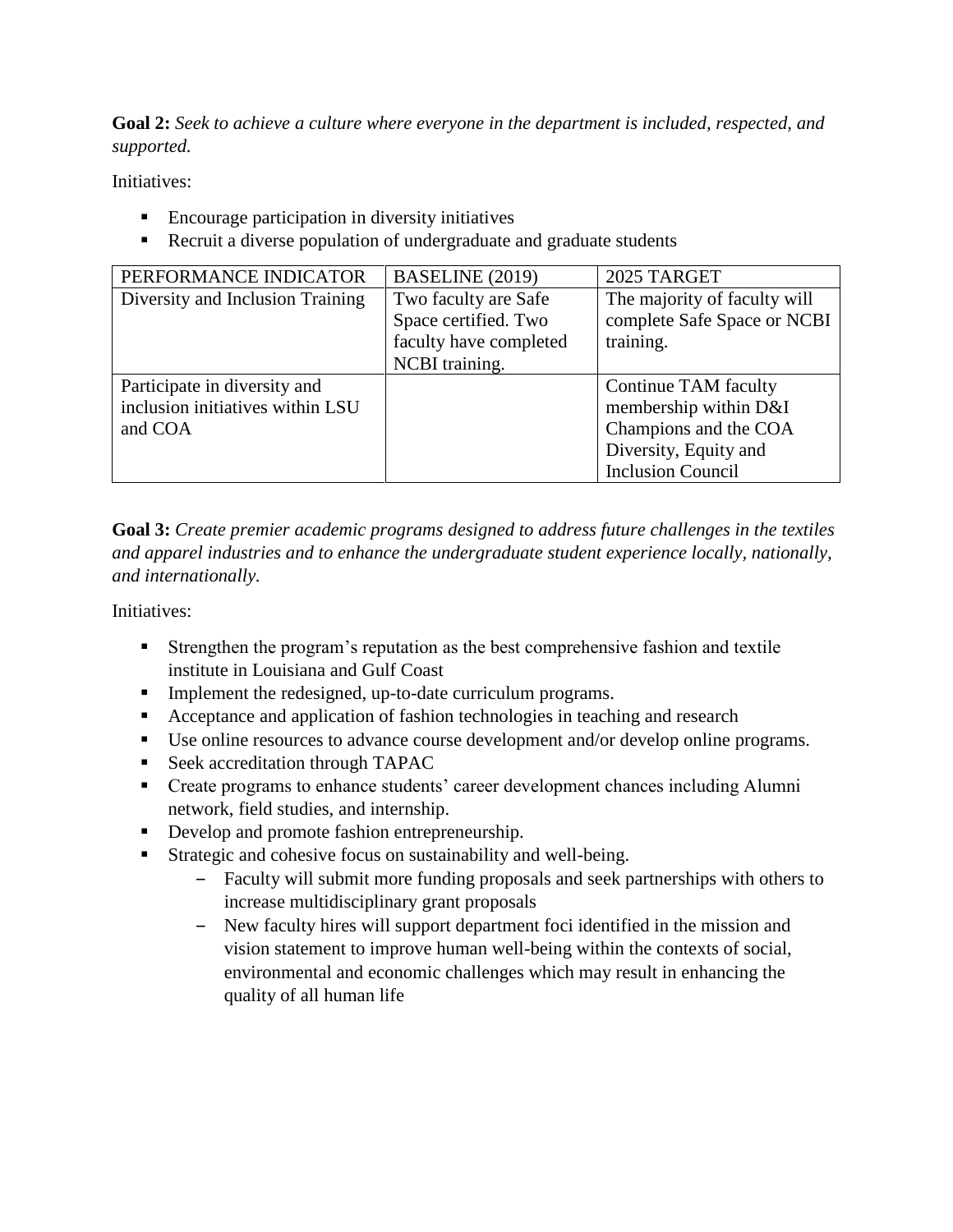**Goal 2:** *Seek to achieve a culture where everyone in the department is included, respected, and supported.*

Initiatives:

- Encourage participation in diversity initiatives
- Recruit a diverse population of undergraduate and graduate students

| PERFORMANCE INDICATOR            | BASELINE (2019)        | 2025 TARGET                  |
|----------------------------------|------------------------|------------------------------|
| Diversity and Inclusion Training | Two faculty are Safe   | The majority of faculty will |
|                                  | Space certified. Two   | complete Safe Space or NCBI  |
|                                  | faculty have completed | training.                    |
|                                  | NCBI training.         |                              |
| Participate in diversity and     |                        | Continue TAM faculty         |
| inclusion initiatives within LSU |                        | membership within D&I        |
| and COA                          |                        | Champions and the COA        |
|                                  |                        | Diversity, Equity and        |
|                                  |                        | <b>Inclusion Council</b>     |

**Goal 3:** *Create premier academic programs designed to address future challenges in the textiles and apparel industries and to enhance the undergraduate student experience locally, nationally, and internationally.*

Initiatives:

- Strengthen the program's reputation as the best comprehensive fashion and textile institute in Louisiana and Gulf Coast
- Implement the redesigned, up-to-date curriculum programs.
- Acceptance and application of fashion technologies in teaching and research
- Use online resources to advance course development and/or develop online programs.
- Seek accreditation through TAPAC
- **•** Create programs to enhance students' career development chances including Alumni network, field studies, and internship.
- Develop and promote fashion entrepreneurship.
- Strategic and cohesive focus on sustainability and well-being.
	- ‒ Faculty will submit more funding proposals and seek partnerships with others to increase multidisciplinary grant proposals
	- ‒ New faculty hires will support department foci identified in the mission and vision statement to improve human well-being within the contexts of social, environmental and economic challenges which may result in enhancing the quality of all human life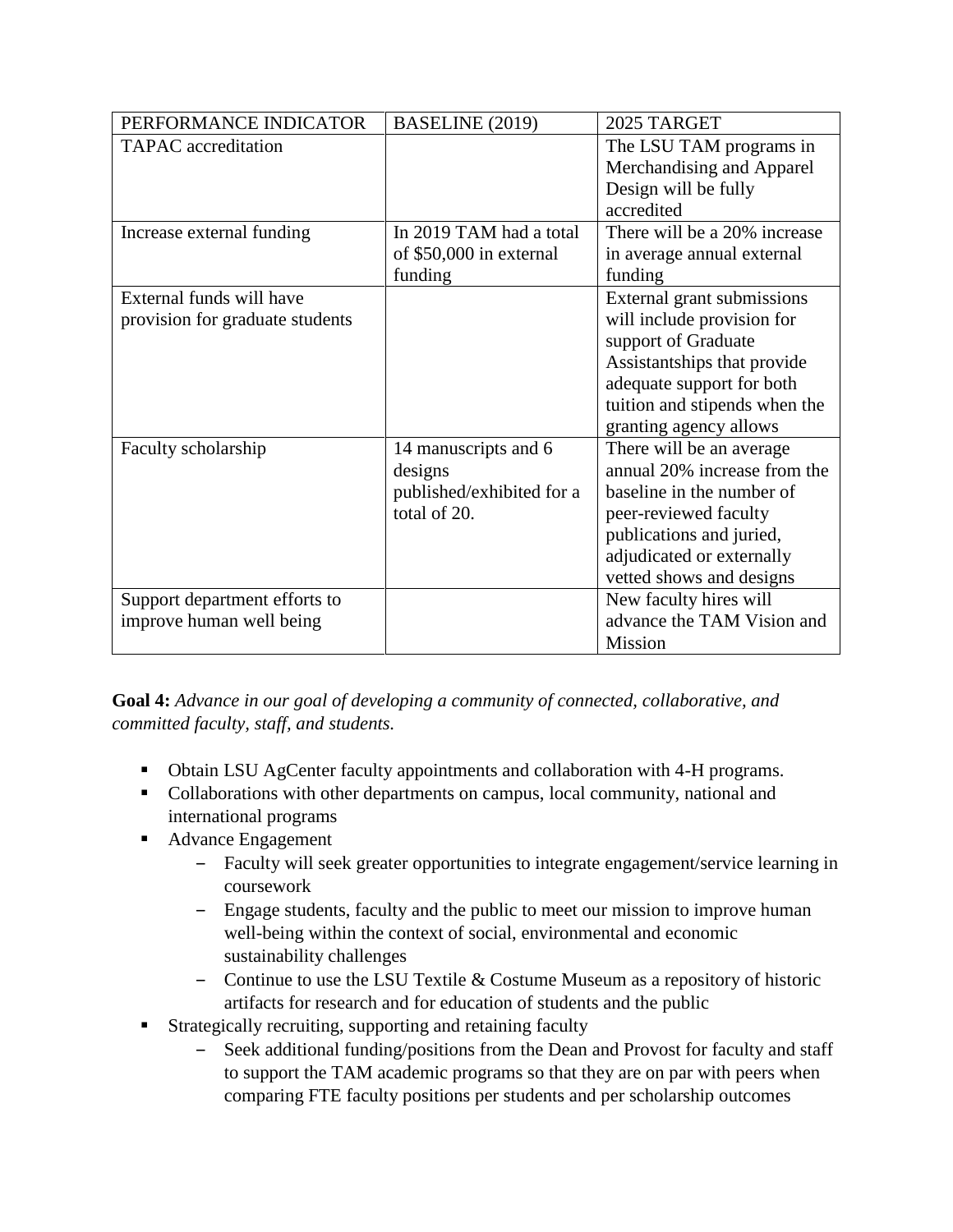| PERFORMANCE INDICATOR           | BASELINE (2019)           | 2025 TARGET                   |
|---------------------------------|---------------------------|-------------------------------|
| <b>TAPAC</b> accreditation      |                           | The LSU TAM programs in       |
|                                 |                           | Merchandising and Apparel     |
|                                 |                           | Design will be fully          |
|                                 |                           | accredited                    |
| Increase external funding       | In 2019 TAM had a total   | There will be a 20% increase  |
|                                 | of \$50,000 in external   | in average annual external    |
|                                 | funding                   | funding                       |
| External funds will have        |                           | External grant submissions    |
| provision for graduate students |                           | will include provision for    |
|                                 |                           | support of Graduate           |
|                                 |                           | Assistantships that provide   |
|                                 |                           | adequate support for both     |
|                                 |                           | tuition and stipends when the |
|                                 |                           | granting agency allows        |
| Faculty scholarship             | 14 manuscripts and 6      | There will be an average      |
|                                 | designs                   | annual 20% increase from the  |
|                                 | published/exhibited for a | baseline in the number of     |
|                                 | total of 20.              | peer-reviewed faculty         |
|                                 |                           | publications and juried,      |
|                                 |                           | adjudicated or externally     |
|                                 |                           | vetted shows and designs      |
| Support department efforts to   |                           | New faculty hires will        |
| improve human well being        |                           | advance the TAM Vision and    |
|                                 |                           | Mission                       |

**Goal 4:** *Advance in our goal of developing a community of connected, collaborative, and committed faculty, staff, and students.*

- Obtain LSU AgCenter faculty appointments and collaboration with 4-H programs.
- Collaborations with other departments on campus, local community, national and international programs
- Advance Engagement
	- ‒ Faculty will seek greater opportunities to integrate engagement/service learning in coursework
	- ‒ Engage students, faculty and the public to meet our mission to improve human well-being within the context of social, environmental and economic sustainability challenges
	- ‒ Continue to use the LSU Textile & Costume Museum as a repository of historic artifacts for research and for education of students and the public
- Strategically recruiting, supporting and retaining faculty
	- ‒ Seek additional funding/positions from the Dean and Provost for faculty and staff to support the TAM academic programs so that they are on par with peers when comparing FTE faculty positions per students and per scholarship outcomes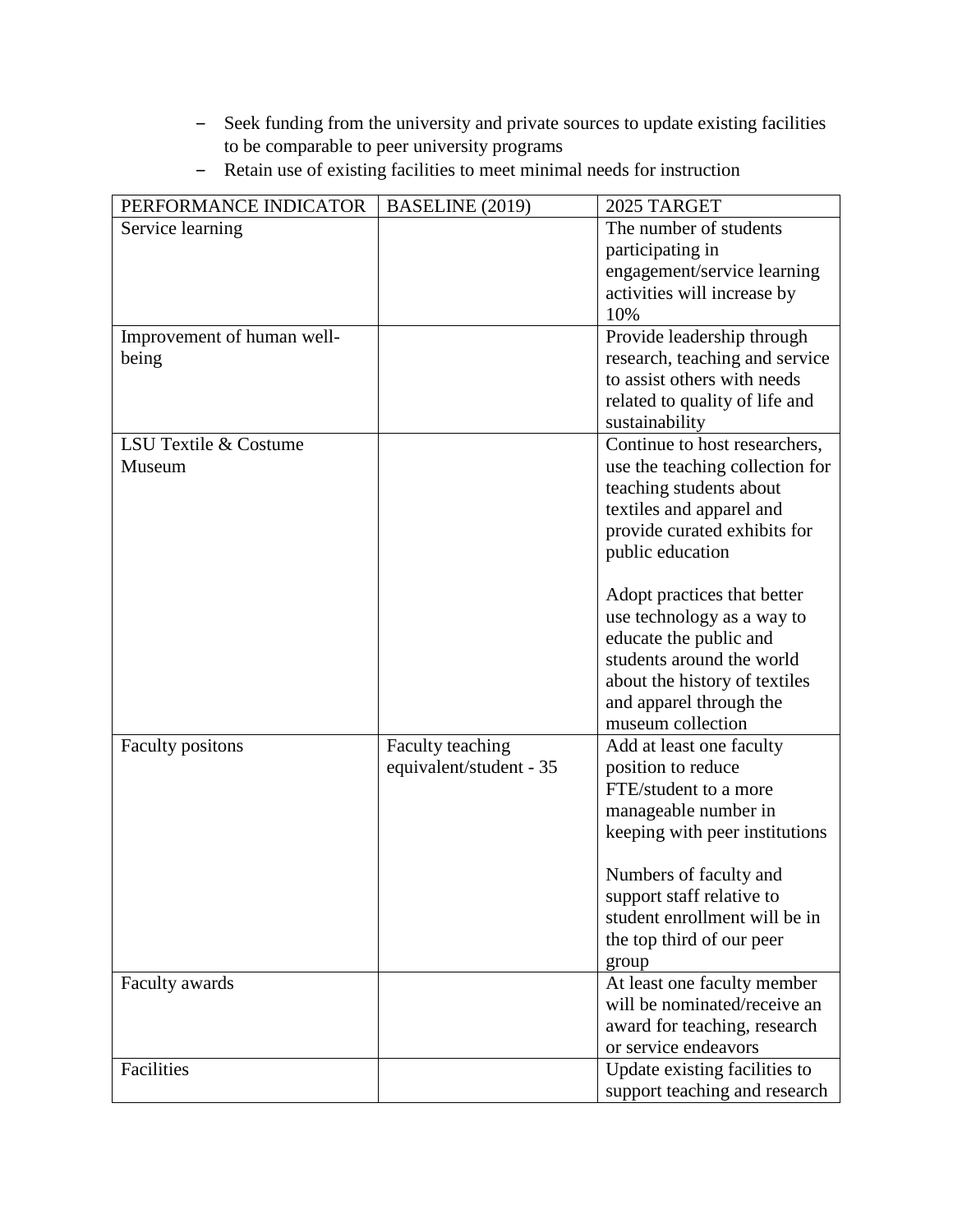- ‒ Seek funding from the university and private sources to update existing facilities to be comparable to peer university programs
- Retain use of existing facilities to meet minimal needs for instruction

| PERFORMANCE INDICATOR      | BASELINE (2019)         | 2025 TARGET                     |
|----------------------------|-------------------------|---------------------------------|
| Service learning           |                         | The number of students          |
|                            |                         | participating in                |
|                            |                         | engagement/service learning     |
|                            |                         | activities will increase by     |
|                            |                         | 10%                             |
| Improvement of human well- |                         | Provide leadership through      |
| being                      |                         | research, teaching and service  |
|                            |                         | to assist others with needs     |
|                            |                         | related to quality of life and  |
|                            |                         | sustainability                  |
| LSU Textile & Costume      |                         | Continue to host researchers,   |
| Museum                     |                         | use the teaching collection for |
|                            |                         | teaching students about         |
|                            |                         | textiles and apparel and        |
|                            |                         | provide curated exhibits for    |
|                            |                         | public education                |
|                            |                         |                                 |
|                            |                         | Adopt practices that better     |
|                            |                         | use technology as a way to      |
|                            |                         | educate the public and          |
|                            |                         | students around the world       |
|                            |                         | about the history of textiles   |
|                            |                         | and apparel through the         |
|                            |                         | museum collection               |
| <b>Faculty positions</b>   | Faculty teaching        | Add at least one faculty        |
|                            | equivalent/student - 35 | position to reduce              |
|                            |                         | FTE/student to a more           |
|                            |                         | manageable number in            |
|                            |                         | keeping with peer institutions  |
|                            |                         |                                 |
|                            |                         | Numbers of faculty and          |
|                            |                         | support staff relative to       |
|                            |                         | student enrollment will be in   |
|                            |                         | the top third of our peer       |
|                            |                         | group                           |
| Faculty awards             |                         | At least one faculty member     |
|                            |                         | will be nominated/receive an    |
|                            |                         | award for teaching, research    |
|                            |                         | or service endeavors            |
| Facilities                 |                         | Update existing facilities to   |
|                            |                         | support teaching and research   |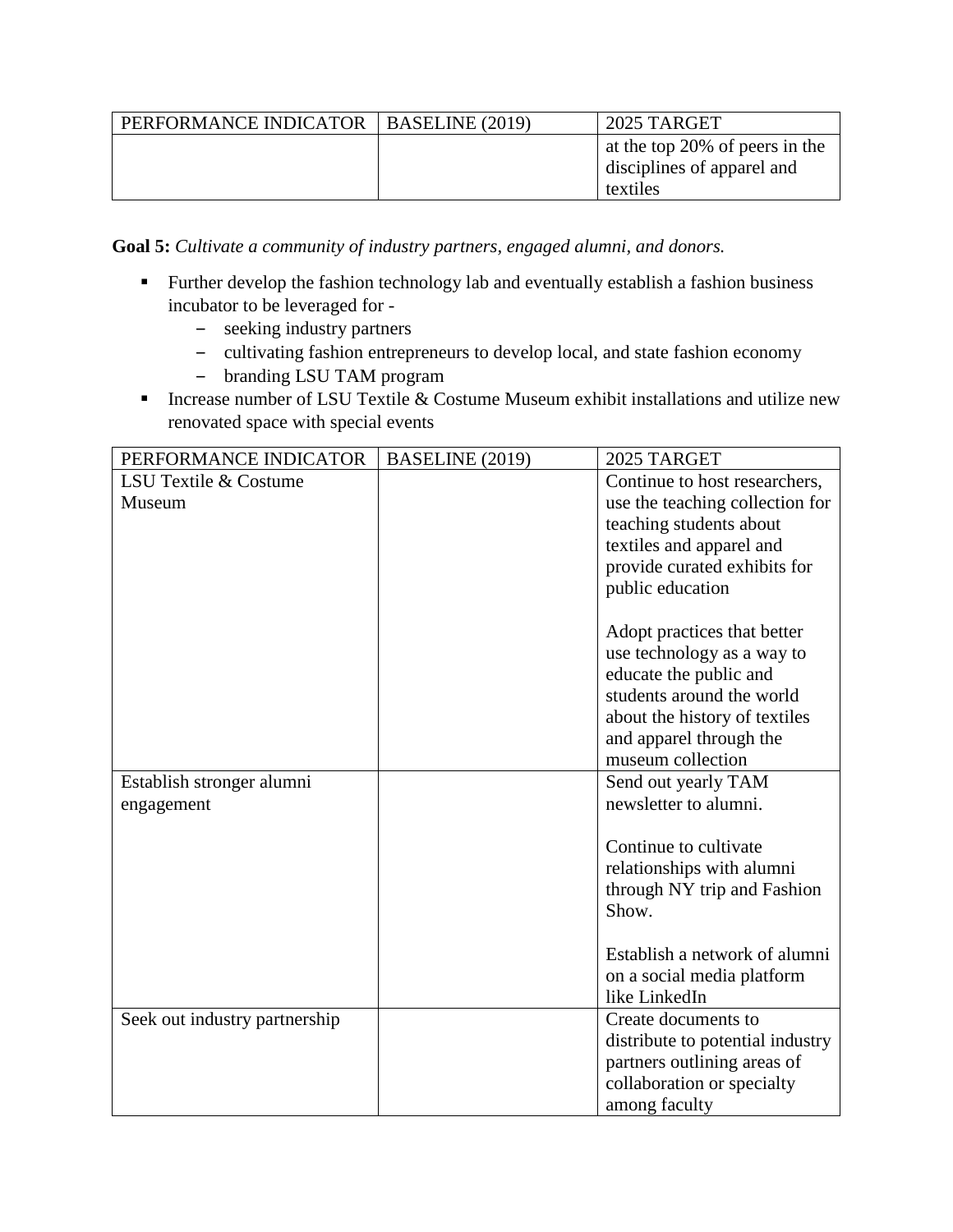| PERFORMANCE INDICATOR | BASELINE (2019) | 2025 TARGET                    |
|-----------------------|-----------------|--------------------------------|
|                       |                 | at the top 20% of peers in the |
|                       |                 | disciplines of apparel and     |
|                       |                 | textiles                       |

**Goal 5:** *Cultivate a community of industry partners, engaged alumni, and donors.*

- Further develop the fashion technology lab and eventually establish a fashion business incubator to be leveraged for -
	- seeking industry partners
	- cultivating fashion entrepreneurs to develop local, and state fashion economy
	- branding LSU TAM program
- Increase number of LSU Textile  $\&$  Costume Museum exhibit installations and utilize new renovated space with special events

| PERFORMANCE INDICATOR         | BASELINE (2019) | 2025 TARGET                      |
|-------------------------------|-----------------|----------------------------------|
| LSU Textile & Costume         |                 | Continue to host researchers,    |
| Museum                        |                 | use the teaching collection for  |
|                               |                 | teaching students about          |
|                               |                 | textiles and apparel and         |
|                               |                 | provide curated exhibits for     |
|                               |                 | public education                 |
|                               |                 |                                  |
|                               |                 | Adopt practices that better      |
|                               |                 | use technology as a way to       |
|                               |                 | educate the public and           |
|                               |                 | students around the world        |
|                               |                 | about the history of textiles    |
|                               |                 | and apparel through the          |
|                               |                 | museum collection                |
| Establish stronger alumni     |                 | Send out yearly TAM              |
| engagement                    |                 | newsletter to alumni.            |
|                               |                 |                                  |
|                               |                 | Continue to cultivate            |
|                               |                 | relationships with alumni        |
|                               |                 | through NY trip and Fashion      |
|                               |                 | Show.                            |
|                               |                 |                                  |
|                               |                 | Establish a network of alumni    |
|                               |                 | on a social media platform       |
|                               |                 | like LinkedIn                    |
| Seek out industry partnership |                 | Create documents to              |
|                               |                 | distribute to potential industry |
|                               |                 | partners outlining areas of      |
|                               |                 | collaboration or specialty       |
|                               |                 | among faculty                    |